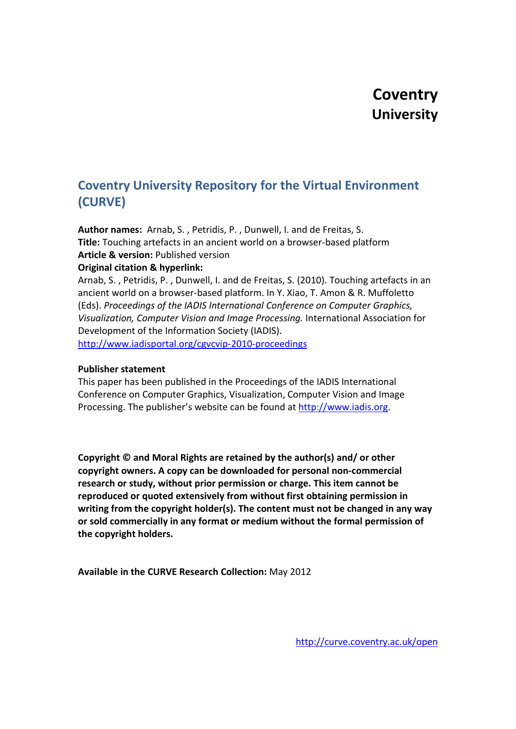# **Coventry University Repository for the Virtual Environment (CURVE)**

**Author names:** Arnab, S. , Petridis, P. , Dunwell, I. and de Freitas, S. **Title:** Touching artefacts in an ancient world on a browser-based platform **Article & version:** Published version **Original citation & hyperlink:**

Arnab, S. , Petridis, P. , Dunwell, I. and de Freitas, S. (2010). Touching artefacts in an ancient world on a browser-based platform. In Y. Xiao, T. Amon & R. Muffoletto (Eds). *Proceedings of the IADIS International Conference on Computer Graphics, Visualization, Computer Vision and Image Processing.* International Association for Development of the Information Society (IADIS).

<http://www.iadisportal.org/cgvcvip-2010-proceedings>

# **Publisher statement**

This paper has been published in the Proceedings of the IADIS International Conference on Computer Graphics, Visualization, Computer Vision and Image Processing. The publisher's website can be found at [http://www.iadis.org.](http://www.iadis.org/)

**Copyright © and Moral Rights are retained by the author(s) and/ or other copyright owners. A copy can be downloaded for personal non-commercial research or study, without prior permission or charge. This item cannot be reproduced or quoted extensively from without first obtaining permission in writing from the copyright holder(s). The content must not be changed in any way or sold commercially in any format or medium without the formal permission of the copyright holders.**

**Available in the CURVE Research Collection:** May 2012

<http://curve.coventry.ac.uk/open>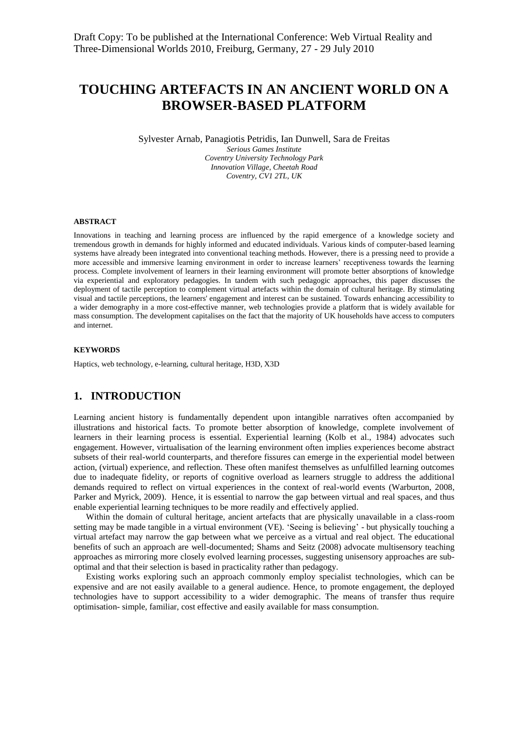# **TOUCHING ARTEFACTS IN AN ANCIENT WORLD ON A BROWSER-BASED PLATFORM**

Sylvester Arnab, Panagiotis Petridis, Ian Dunwell, Sara de Freitas

*Serious Games Institute Coventry University Technology Park Innovation Village, Cheetah Road Coventry, CV1 2TL, UK*

#### **ABSTRACT**

Innovations in teaching and learning process are influenced by the rapid emergence of a knowledge society and tremendous growth in demands for highly informed and educated individuals. Various kinds of computer-based learning systems have already been integrated into conventional teaching methods. However, there is a pressing need to provide a more accessible and immersive learning environment in order to increase learners' receptiveness towards the learning process. Complete involvement of learners in their learning environment will promote better absorptions of knowledge via experiential and exploratory pedagogies. In tandem with such pedagogic approaches, this paper discusses the deployment of tactile perception to complement virtual artefacts within the domain of cultural heritage. By stimulating visual and tactile perceptions, the learners' engagement and interest can be sustained. Towards enhancing accessibility to a wider demography in a more cost-effective manner, web technologies provide a platform that is widely available for mass consumption. The development capitalises on the fact that the majority of UK households have access to computers and internet.

#### **KEYWORDS**

Haptics, web technology, e-learning, cultural heritage, H3D, X3D

#### **1. INTRODUCTION**

Learning ancient history is fundamentally dependent upon intangible narratives often accompanied by illustrations and historical facts. To promote better absorption of knowledge, complete involvement of learners in their learning process is essential. Experiential learning (Kolb et al., 1984) advocates such engagement. However, virtualisation of the learning environment often implies experiences become abstract subsets of their real-world counterparts, and therefore fissures can emerge in the experiential model between action, (virtual) experience, and reflection. These often manifest themselves as unfulfilled learning outcomes due to inadequate fidelity, or reports of cognitive overload as learners struggle to address the additional demands required to reflect on virtual experiences in the context of real-world events (Warburton, 2008, Parker and Myrick, 2009). Hence, it is essential to narrow the gap between virtual and real spaces, and thus enable experiential learning techniques to be more readily and effectively applied.

Within the domain of cultural heritage, ancient artefacts that are physically unavailable in a class-room setting may be made tangible in a virtual environment (VE). 'Seeing is believing' - but physically touching a virtual artefact may narrow the gap between what we perceive as a virtual and real object. The educational benefits of such an approach are well-documented; Shams and Seitz (2008) advocate multisensory teaching approaches as mirroring more closely evolved learning processes, suggesting unisensory approaches are suboptimal and that their selection is based in practicality rather than pedagogy.

Existing works exploring such an approach commonly employ specialist technologies, which can be expensive and are not easily available to a general audience. Hence, to promote engagement, the deployed technologies have to support accessibility to a wider demographic. The means of transfer thus require optimisation- simple, familiar, cost effective and easily available for mass consumption.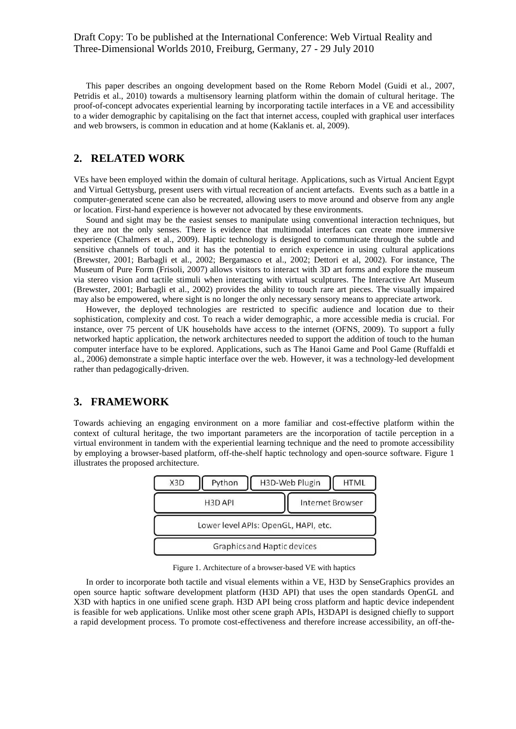This paper describes an ongoing development based on the Rome Reborn Model (Guidi et al., 2007, Petridis et al., 2010) towards a multisensory learning platform within the domain of cultural heritage. The proof-of-concept advocates experiential learning by incorporating tactile interfaces in a VE and accessibility to a wider demographic by capitalising on the fact that internet access, coupled with graphical user interfaces and web browsers, is common in education and at home (Kaklanis et. al, 2009).

# **2. RELATED WORK**

VEs have been employed within the domain of cultural heritage. Applications, such as Virtual Ancient Egypt and Virtual Gettysburg, present users with virtual recreation of ancient artefacts. Events such as a battle in a computer-generated scene can also be recreated, allowing users to move around and observe from any angle or location. First-hand experience is however not advocated by these environments.

Sound and sight may be the easiest senses to manipulate using conventional interaction techniques, but they are not the only senses. There is evidence that multimodal interfaces can create more immersive experience (Chalmers et al., 2009). Haptic technology is designed to communicate through the subtle and sensitive channels of touch and it has the potential to enrich experience in using cultural applications (Brewster, 2001; Barbagli et al., 2002; Bergamasco et al., 2002; Dettori et al, 2002). For instance, The Museum of Pure Form (Frisoli, 2007) allows visitors to interact with 3D art forms and explore the museum via stereo vision and tactile stimuli when interacting with virtual sculptures. The Interactive Art Museum (Brewster, 2001; Barbagli et al., 2002) provides the ability to touch rare art pieces. The visually impaired may also be empowered, where sight is no longer the only necessary sensory means to appreciate artwork.

However, the deployed technologies are restricted to specific audience and location due to their sophistication, complexity and cost. To reach a wider demographic, a more accessible media is crucial. For instance, over 75 percent of UK households have access to the internet (OFNS, 2009). To support a fully networked haptic application, the network architectures needed to support the addition of touch to the human computer interface have to be explored. Applications, such as The Hanoi Game and Pool Game (Ruffaldi et al., 2006) demonstrate a simple haptic interface over the web. However, it was a technology-led development rather than pedagogically-driven.

# **3. FRAMEWORK**

Towards achieving an engaging environment on a more familiar and cost-effective platform within the context of cultural heritage, the two important parameters are the incorporation of tactile perception in a virtual environment in tandem with the experiential learning technique and the need to promote accessibility by employing a browser-based platform, off-the-shelf haptic technology and open-source software. Figure 1 illustrates the proposed architecture.



Figure 1. Architecture of a browser-based VE with haptics

In order to incorporate both tactile and visual elements within a VE, H3D by SenseGraphics provides an open source haptic software development platform (H3D API) that uses the open standards OpenGL and X3D with haptics in one unified scene graph. H3D API being cross platform and haptic device independent is feasible for web applications. Unlike most other scene graph APIs, H3DAPI is designed chiefly to support a rapid development process. To promote cost-effectiveness and therefore increase accessibility, an off-the-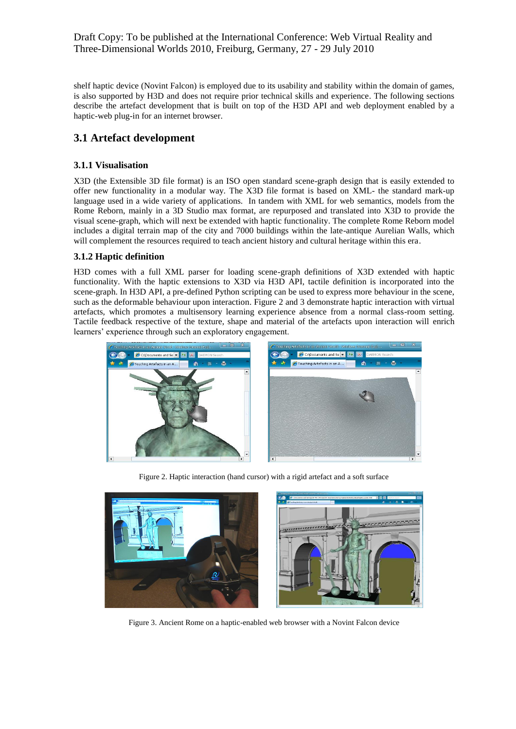# Draft Copy: To be published at the International Conference: Web Virtual Reality and Three-Dimensional Worlds 2010, Freiburg, Germany, 27 - 29 July 2010

shelf haptic device (Novint Falcon) is employed due to its usability and stability within the domain of games, is also supported by H3D and does not require prior technical skills and experience. The following sections describe the artefact development that is built on top of the H3D API and web deployment enabled by a haptic-web plug-in for an internet browser.

# **3.1 Artefact development**

# **3.1.1 Visualisation**

X3D (the Extensible 3D file format) is an ISO open standard scene-graph design that is easily extended to offer new functionality in a modular way. The X3D file format is based on XML- the standard mark-up language used in a wide variety of applications. In tandem with XML for web semantics, models from the Rome Reborn, mainly in a 3D Studio max format, are repurposed and translated into X3D to provide the visual scene-graph, which will next be extended with haptic functionality. The complete Rome Reborn model includes a digital terrain map of the city and 7000 buildings within the late-antique Aurelian Walls, which will complement the resources required to teach ancient history and cultural heritage within this era.

# **3.1.2 Haptic definition**

H3D comes with a full XML parser for loading scene-graph definitions of X3D extended with haptic functionality. With the haptic extensions to X3D via H3D API, tactile definition is incorporated into the scene-graph. In H3D API, a pre-defined Python scripting can be used to express more behaviour in the scene, such as the deformable behaviour upon interaction. Figure 2 and 3 demonstrate haptic interaction with virtual artefacts, which promotes a multisensory learning experience absence from a normal class-room setting. Tactile feedback respective of the texture, shape and material of the artefacts upon interaction will enrich learners' experience through such an exploratory engagement.



Figure 2. Haptic interaction (hand cursor) with a rigid artefact and a soft surface



Figure 3. Ancient Rome on a haptic-enabled web browser with a Novint Falcon device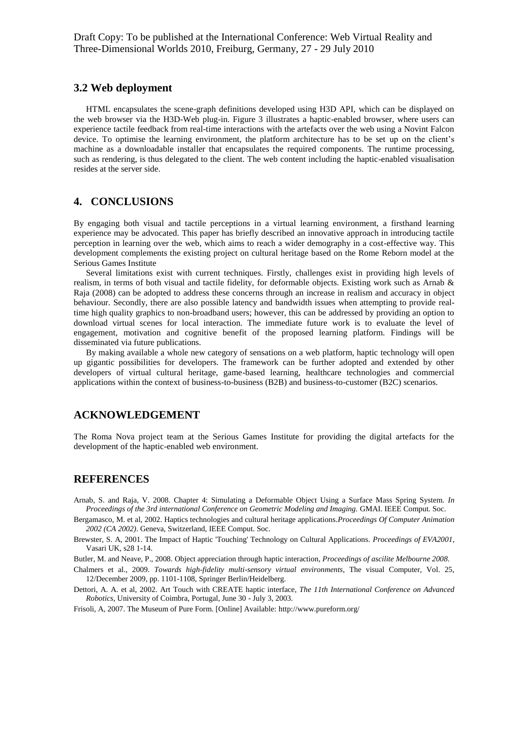# **3.2 Web deployment**

HTML encapsulates the scene-graph definitions developed using H3D API, which can be displayed on the web browser via the H3D-Web plug-in. Figure 3 illustrates a haptic-enabled browser, where users can experience tactile feedback from real-time interactions with the artefacts over the web using a Novint Falcon device. To optimise the learning environment, the platform architecture has to be set up on the client's machine as a downloadable installer that encapsulates the required components. The runtime processing, such as rendering, is thus delegated to the client. The web content including the haptic-enabled visualisation resides at the server side.

# **4. CONCLUSIONS**

By engaging both visual and tactile perceptions in a virtual learning environment, a firsthand learning experience may be advocated. This paper has briefly described an innovative approach in introducing tactile perception in learning over the web, which aims to reach a wider demography in a cost-effective way. This development complements the existing project on cultural heritage based on the Rome Reborn model at the Serious Games Institute

Several limitations exist with current techniques. Firstly, challenges exist in providing high levels of realism, in terms of both visual and tactile fidelity, for deformable objects. Existing work such as Arnab & Raja (2008) can be adopted to address these concerns through an increase in realism and accuracy in object behaviour. Secondly, there are also possible latency and bandwidth issues when attempting to provide realtime high quality graphics to non-broadband users; however, this can be addressed by providing an option to download virtual scenes for local interaction. The immediate future work is to evaluate the level of engagement, motivation and cognitive benefit of the proposed learning platform. Findings will be disseminated via future publications.

By making available a whole new category of sensations on a web platform, haptic technology will open up gigantic possibilities for developers. The framework can be further adopted and extended by other developers of virtual cultural heritage, game-based learning, healthcare technologies and commercial applications within the context of business-to-business (B2B) and business-to-customer (B2C) scenarios.

# **ACKNOWLEDGEMENT**

The Roma Nova project team at the Serious Games Institute for providing the digital artefacts for the development of the haptic-enabled web environment.

## **REFERENCES**

Arnab, S. and Raja, V. 2008. Chapter 4: Simulating a Deformable Object Using a Surface Mass Spring System. *In Proceedings of the 3rd international Conference on Geometric Modeling and Imaging.* GMAI. IEEE Comput. Soc.

Bergamasco, M. et al, 2002. Haptics technologies and cultural heritage applications.*Proceedings Of Computer Animation 2002 (CA 2002)*. Geneva, Switzerland, IEEE Comput. Soc.

Brewster, S. A, 2001. The Impact of Haptic 'Touching' Technology on Cultural Applications. *Proceedings of EVA2001*, Vasari UK, s28 1-14.

Butler, M. and Neave, P., 2008. Object appreciation through haptic interaction, *Proceedings of ascilite Melbourne 2008*.

Chalmers et al., 2009. *Towards high-fidelity multi-sensory virtual environments*, The visual Computer, Vol. 25, 12/December 2009, pp. 1101-1108, Springer Berlin/Heidelberg.

Dettori, A. A. et al, 2002. Art Touch with CREATE haptic interface, *The 11th International Conference on Advanced Robotics*, University of Coimbra, Portugal, June 30 - July 3, 2003.

Frisoli, A, 2007. The Museum of Pure Form. [Online] Available: http://www.pureform.org/